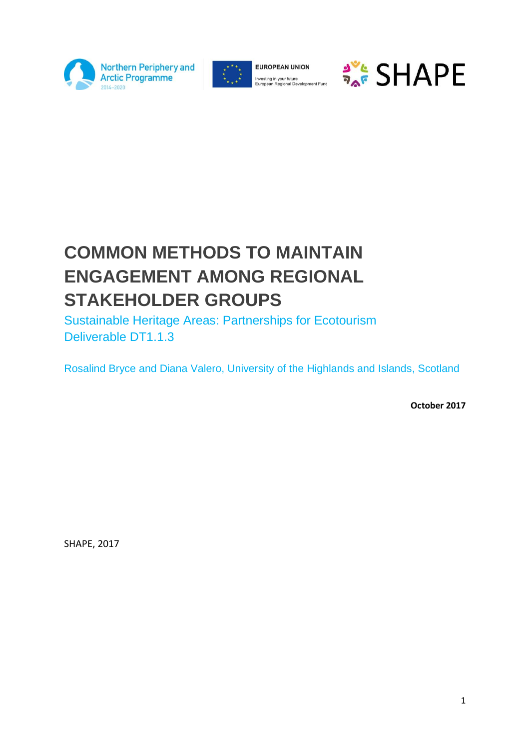



**EUROPEAN UNION** Investing in your future<br>European Regional Development Fund



# **COMMON METHODS TO MAINTAIN ENGAGEMENT AMONG REGIONAL STAKEHOLDER GROUPS**

Sustainable Heritage Areas: Partnerships for Ecotourism Deliverable DT1.1.3

Rosalind Bryce and Diana Valero, University of the Highlands and Islands, Scotland

**October 2017**

SHAPE, 2017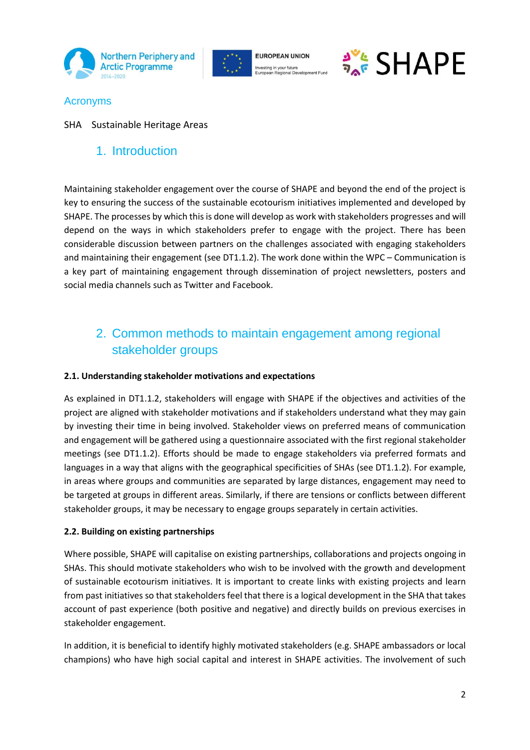





# Acronyms

## SHA Sustainable Heritage Areas

# 1. Introduction

Maintaining stakeholder engagement over the course of SHAPE and beyond the end of the project is key to ensuring the success of the sustainable ecotourism initiatives implemented and developed by SHAPE. The processes by which this is done will develop as work with stakeholders progresses and will depend on the ways in which stakeholders prefer to engage with the project. There has been considerable discussion between partners on the challenges associated with engaging stakeholders and maintaining their engagement (see DT1.1.2). The work done within the WPC – Communication is a key part of maintaining engagement through dissemination of project newsletters, posters and social media channels such as Twitter and Facebook.

# 2. Common methods to maintain engagement among regional stakeholder groups

## **2.1. Understanding stakeholder motivations and expectations**

As explained in DT1.1.2, stakeholders will engage with SHAPE if the objectives and activities of the project are aligned with stakeholder motivations and if stakeholders understand what they may gain by investing their time in being involved. Stakeholder views on preferred means of communication and engagement will be gathered using a questionnaire associated with the first regional stakeholder meetings (see DT1.1.2). Efforts should be made to engage stakeholders via preferred formats and languages in a way that aligns with the geographical specificities of SHAs (see DT1.1.2). For example, in areas where groups and communities are separated by large distances, engagement may need to be targeted at groups in different areas. Similarly, if there are tensions or conflicts between different stakeholder groups, it may be necessary to engage groups separately in certain activities.

#### **2.2. Building on existing partnerships**

Where possible, SHAPE will capitalise on existing partnerships, collaborations and projects ongoing in SHAs. This should motivate stakeholders who wish to be involved with the growth and development of sustainable ecotourism initiatives. It is important to create links with existing projects and learn from past initiatives so that stakeholders feel that there is a logical development in the SHA that takes account of past experience (both positive and negative) and directly builds on previous exercises in stakeholder engagement.

In addition, it is beneficial to identify highly motivated stakeholders (e.g. SHAPE ambassadors or local champions) who have high social capital and interest in SHAPE activities. The involvement of such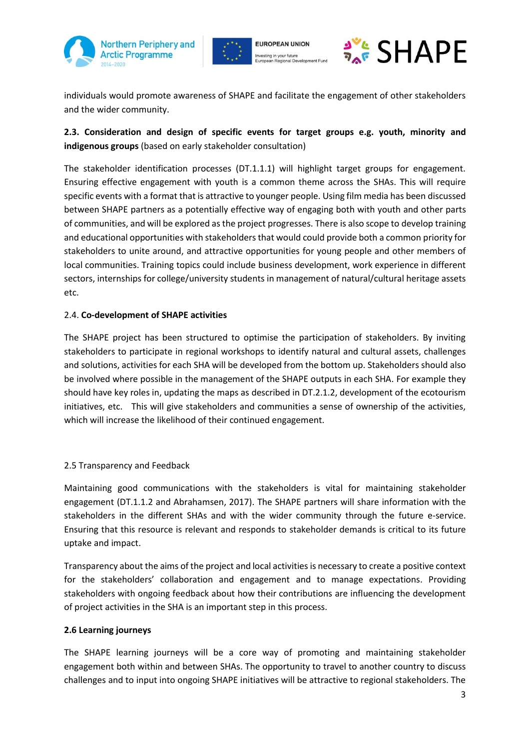





individuals would promote awareness of SHAPE and facilitate the engagement of other stakeholders and the wider community.

# **2.3. Consideration and design of specific events for target groups e.g. youth, minority and indigenous groups** (based on early stakeholder consultation)

The stakeholder identification processes (DT.1.1.1) will highlight target groups for engagement. Ensuring effective engagement with youth is a common theme across the SHAs. This will require specific events with a format that is attractive to younger people. Using film media has been discussed between SHAPE partners as a potentially effective way of engaging both with youth and other parts of communities, and will be explored as the project progresses. There is also scope to develop training and educational opportunities with stakeholders that would could provide both a common priority for stakeholders to unite around, and attractive opportunities for young people and other members of local communities. Training topics could include business development, work experience in different sectors, internships for college/university students in management of natural/cultural heritage assets etc.

#### 2.4. **Co-development of SHAPE activities**

The SHAPE project has been structured to optimise the participation of stakeholders. By inviting stakeholders to participate in regional workshops to identify natural and cultural assets, challenges and solutions, activities for each SHA will be developed from the bottom up. Stakeholders should also be involved where possible in the management of the SHAPE outputs in each SHA. For example they should have key roles in, updating the maps as described in DT.2.1.2, development of the ecotourism initiatives, etc. This will give stakeholders and communities a sense of ownership of the activities, which will increase the likelihood of their continued engagement.

#### 2.5 Transparency and Feedback

Maintaining good communications with the stakeholders is vital for maintaining stakeholder engagement (DT.1.1.2 and Abrahamsen, 2017). The SHAPE partners will share information with the stakeholders in the different SHAs and with the wider community through the future e-service. Ensuring that this resource is relevant and responds to stakeholder demands is critical to its future uptake and impact.

Transparency about the aims of the project and local activitiesis necessary to create a positive context for the stakeholders' collaboration and engagement and to manage expectations. Providing stakeholders with ongoing feedback about how their contributions are influencing the development of project activities in the SHA is an important step in this process.

#### **2.6 Learning journeys**

The SHAPE learning journeys will be a core way of promoting and maintaining stakeholder engagement both within and between SHAs. The opportunity to travel to another country to discuss challenges and to input into ongoing SHAPE initiatives will be attractive to regional stakeholders. The